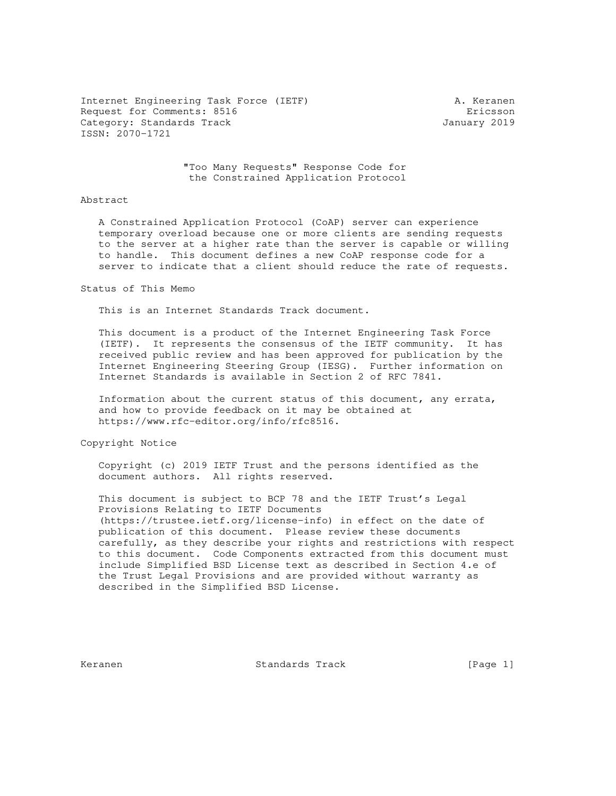Internet Engineering Task Force (IETF) A. Keranen Request for Comments: 8516 **Exercise Existence** Existence entries and Existence entries Existence entries and Existence entries and Existence entries and Existence entries and Existence entries and Existence entries and Ex Category: Standards Track January 2019 ISSN: 2070-1721

 "Too Many Requests" Response Code for the Constrained Application Protocol

#### Abstract

 A Constrained Application Protocol (CoAP) server can experience temporary overload because one or more clients are sending requests to the server at a higher rate than the server is capable or willing to handle. This document defines a new CoAP response code for a server to indicate that a client should reduce the rate of requests.

#### Status of This Memo

This is an Internet Standards Track document.

 This document is a product of the Internet Engineering Task Force (IETF). It represents the consensus of the IETF community. It has received public review and has been approved for publication by the Internet Engineering Steering Group (IESG). Further information on Internet Standards is available in Section 2 of RFC 7841.

 Information about the current status of this document, any errata, and how to provide feedback on it may be obtained at https://www.rfc-editor.org/info/rfc8516.

Copyright Notice

 Copyright (c) 2019 IETF Trust and the persons identified as the document authors. All rights reserved.

 This document is subject to BCP 78 and the IETF Trust's Legal Provisions Relating to IETF Documents (https://trustee.ietf.org/license-info) in effect on the date of publication of this document. Please review these documents carefully, as they describe your rights and restrictions with respect to this document. Code Components extracted from this document must include Simplified BSD License text as described in Section 4.e of the Trust Legal Provisions and are provided without warranty as described in the Simplified BSD License.

Keranen Standards Track [Page 1]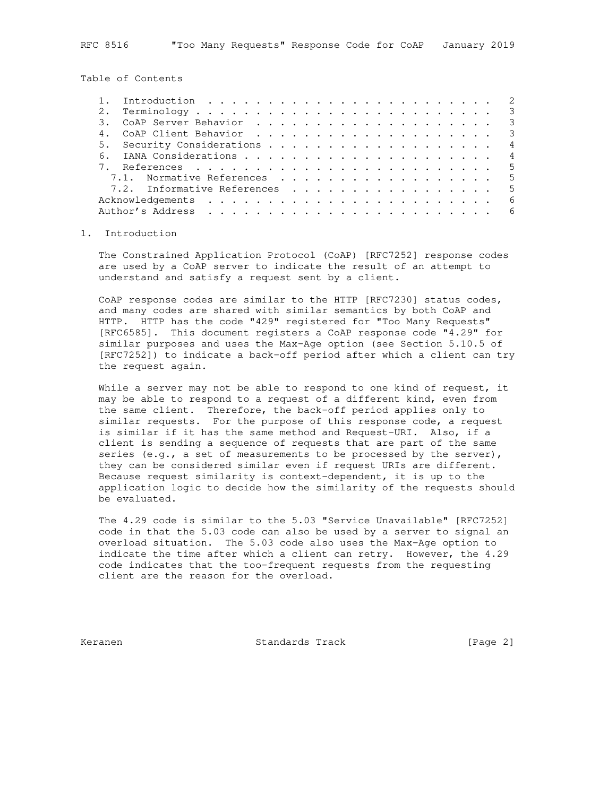Table of Contents

|  | Introduction $\cdots$ , $\cdots$ , $\cdots$ , $\cdots$ , $\cdots$ , $\cdots$ , $\cdots$ , $\cdots$ , $\cdots$ , $\cdots$ |                |
|--|--------------------------------------------------------------------------------------------------------------------------|----------------|
|  |                                                                                                                          |                |
|  |                                                                                                                          |                |
|  |                                                                                                                          |                |
|  |                                                                                                                          | $\overline{4}$ |
|  |                                                                                                                          |                |
|  |                                                                                                                          |                |
|  | 7.1. Normative References 5                                                                                              |                |
|  | 7.2. Informative References 5                                                                                            |                |
|  |                                                                                                                          | 6              |
|  |                                                                                                                          |                |

# 1. Introduction

 The Constrained Application Protocol (CoAP) [RFC7252] response codes are used by a CoAP server to indicate the result of an attempt to understand and satisfy a request sent by a client.

 CoAP response codes are similar to the HTTP [RFC7230] status codes, and many codes are shared with similar semantics by both CoAP and HTTP. HTTP has the code "429" registered for "Too Many Requests" [RFC6585]. This document registers a CoAP response code "4.29" for similar purposes and uses the Max-Age option (see Section 5.10.5 of [RFC7252]) to indicate a back-off period after which a client can try the request again.

While a server may not be able to respond to one kind of request, it may be able to respond to a request of a different kind, even from the same client. Therefore, the back-off period applies only to similar requests. For the purpose of this response code, a request is similar if it has the same method and Request-URI. Also, if a client is sending a sequence of requests that are part of the same series (e.g., a set of measurements to be processed by the server), they can be considered similar even if request URIs are different. Because request similarity is context-dependent, it is up to the application logic to decide how the similarity of the requests should be evaluated.

 The 4.29 code is similar to the 5.03 "Service Unavailable" [RFC7252] code in that the 5.03 code can also be used by a server to signal an overload situation. The 5.03 code also uses the Max-Age option to indicate the time after which a client can retry. However, the 4.29 code indicates that the too-frequent requests from the requesting client are the reason for the overload.

Keranen Standards Track [Page 2]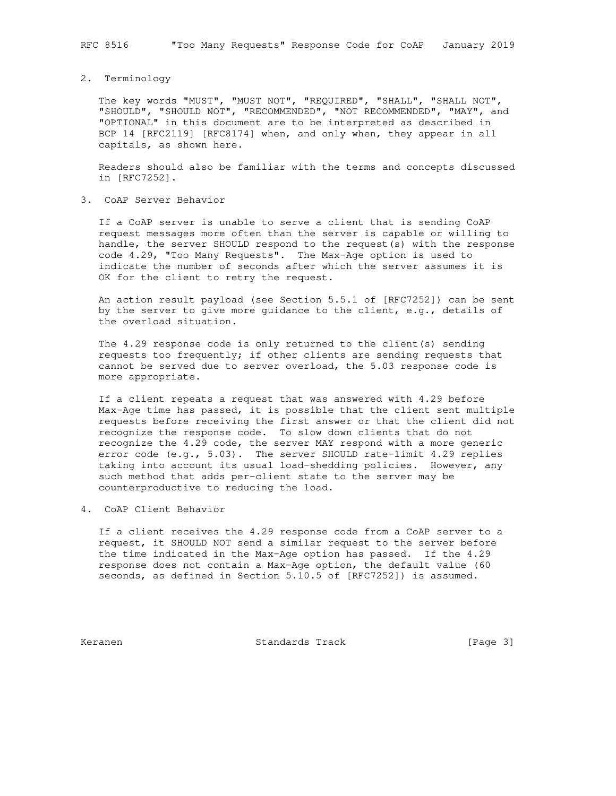#### 2. Terminology

 The key words "MUST", "MUST NOT", "REQUIRED", "SHALL", "SHALL NOT", "SHOULD", "SHOULD NOT", "RECOMMENDED", "NOT RECOMMENDED", "MAY", and "OPTIONAL" in this document are to be interpreted as described in BCP 14 [RFC2119] [RFC8174] when, and only when, they appear in all capitals, as shown here.

 Readers should also be familiar with the terms and concepts discussed in [RFC7252].

## 3. CoAP Server Behavior

 If a CoAP server is unable to serve a client that is sending CoAP request messages more often than the server is capable or willing to handle, the server SHOULD respond to the request(s) with the response code 4.29, "Too Many Requests". The Max-Age option is used to indicate the number of seconds after which the server assumes it is OK for the client to retry the request.

 An action result payload (see Section 5.5.1 of [RFC7252]) can be sent by the server to give more guidance to the client, e.g., details of the overload situation.

 The 4.29 response code is only returned to the client(s) sending requests too frequently; if other clients are sending requests that cannot be served due to server overload, the 5.03 response code is more appropriate.

 If a client repeats a request that was answered with 4.29 before Max-Age time has passed, it is possible that the client sent multiple requests before receiving the first answer or that the client did not recognize the response code. To slow down clients that do not recognize the 4.29 code, the server MAY respond with a more generic error code (e.g., 5.03). The server SHOULD rate-limit 4.29 replies taking into account its usual load-shedding policies. However, any such method that adds per-client state to the server may be counterproductive to reducing the load.

# 4. CoAP Client Behavior

 If a client receives the 4.29 response code from a CoAP server to a request, it SHOULD NOT send a similar request to the server before the time indicated in the Max-Age option has passed. If the 4.29 response does not contain a Max-Age option, the default value (60 seconds, as defined in Section 5.10.5 of [RFC7252]) is assumed.

Keranen Standards Track [Page 3]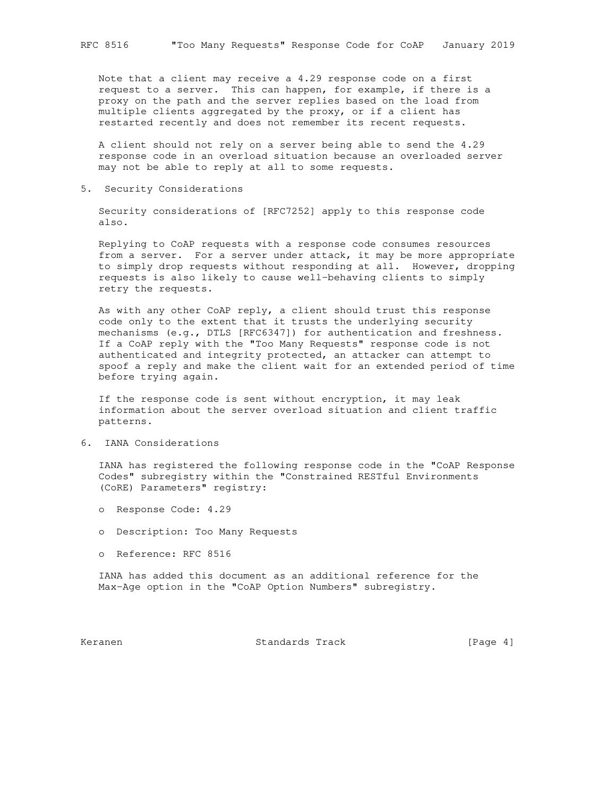Note that a client may receive a 4.29 response code on a first request to a server. This can happen, for example, if there is a proxy on the path and the server replies based on the load from multiple clients aggregated by the proxy, or if a client has restarted recently and does not remember its recent requests.

 A client should not rely on a server being able to send the 4.29 response code in an overload situation because an overloaded server may not be able to reply at all to some requests.

5. Security Considerations

 Security considerations of [RFC7252] apply to this response code also.

 Replying to CoAP requests with a response code consumes resources from a server. For a server under attack, it may be more appropriate to simply drop requests without responding at all. However, dropping requests is also likely to cause well-behaving clients to simply retry the requests.

 As with any other CoAP reply, a client should trust this response code only to the extent that it trusts the underlying security mechanisms (e.g., DTLS [RFC6347]) for authentication and freshness. If a CoAP reply with the "Too Many Requests" response code is not authenticated and integrity protected, an attacker can attempt to spoof a reply and make the client wait for an extended period of time before trying again.

 If the response code is sent without encryption, it may leak information about the server overload situation and client traffic patterns.

6. IANA Considerations

 IANA has registered the following response code in the "CoAP Response Codes" subregistry within the "Constrained RESTful Environments (CoRE) Parameters" registry:

- o Response Code: 4.29
- o Description: Too Many Requests
- o Reference: RFC 8516

 IANA has added this document as an additional reference for the Max-Age option in the "CoAP Option Numbers" subregistry.

Keranen 1988 Standards Track 1988 [Page 4]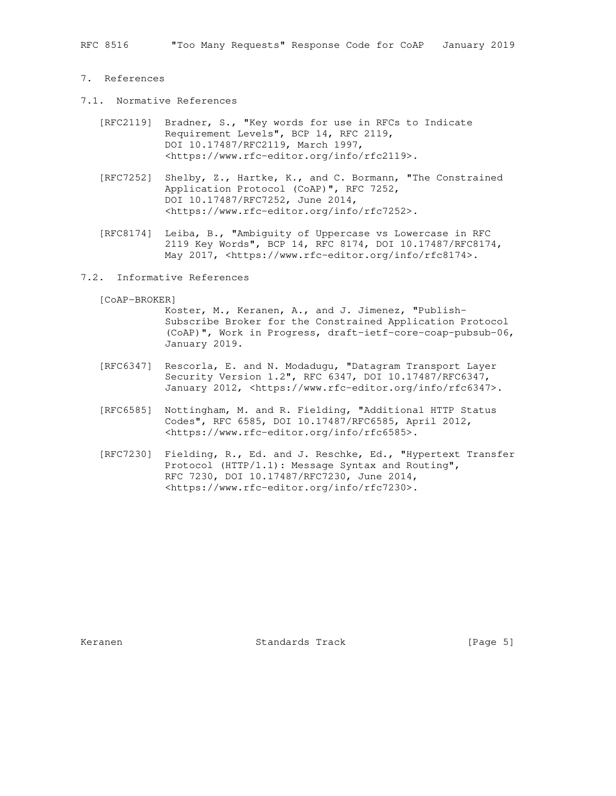RFC 8516 "Too Many Requests" Response Code for CoAP January 2019

### 7. References

- 7.1. Normative References
	- [RFC2119] Bradner, S., "Key words for use in RFCs to Indicate Requirement Levels", BCP 14, RFC 2119, DOI 10.17487/RFC2119, March 1997, <https://www.rfc-editor.org/info/rfc2119>.
	- [RFC7252] Shelby, Z., Hartke, K., and C. Bormann, "The Constrained Application Protocol (CoAP)", RFC 7252, DOI 10.17487/RFC7252, June 2014, <https://www.rfc-editor.org/info/rfc7252>.
	- [RFC8174] Leiba, B., "Ambiguity of Uppercase vs Lowercase in RFC 2119 Key Words", BCP 14, RFC 8174, DOI 10.17487/RFC8174, May 2017, <https://www.rfc-editor.org/info/rfc8174>.

### 7.2. Informative References

[CoAP-BROKER]

 Koster, M., Keranen, A., and J. Jimenez, "Publish- Subscribe Broker for the Constrained Application Protocol (CoAP)", Work in Progress, draft-ietf-core-coap-pubsub-06, January 2019.

- [RFC6347] Rescorla, E. and N. Modadugu, "Datagram Transport Layer Security Version 1.2", RFC 6347, DOI 10.17487/RFC6347, January 2012, <https://www.rfc-editor.org/info/rfc6347>.
- [RFC6585] Nottingham, M. and R. Fielding, "Additional HTTP Status Codes", RFC 6585, DOI 10.17487/RFC6585, April 2012, <https://www.rfc-editor.org/info/rfc6585>.
- [RFC7230] Fielding, R., Ed. and J. Reschke, Ed., "Hypertext Transfer Protocol (HTTP/1.1): Message Syntax and Routing", RFC 7230, DOI 10.17487/RFC7230, June 2014, <https://www.rfc-editor.org/info/rfc7230>.

Keranen 1988 Standards Track 1988 (Page 5)